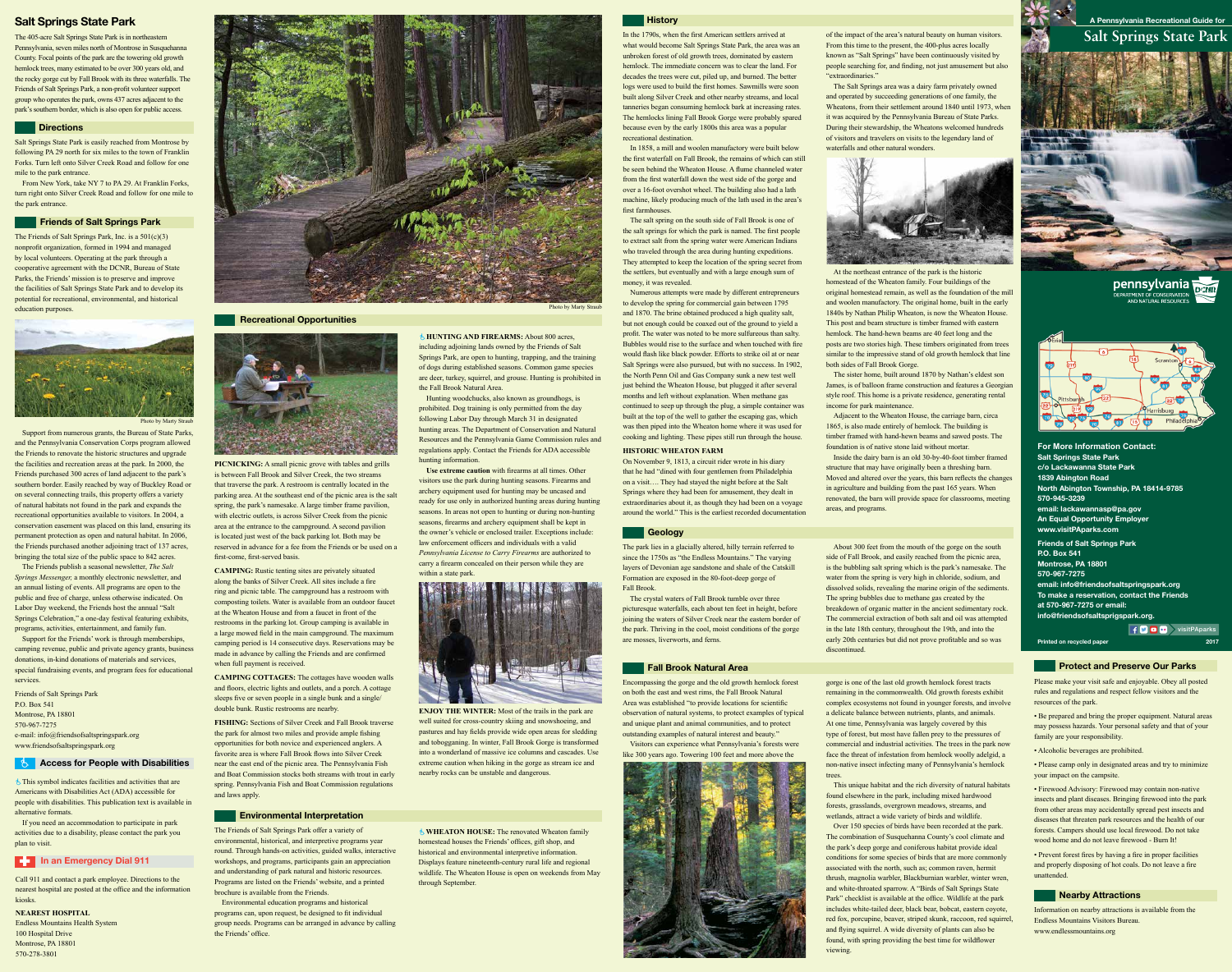# **Salt Springs State Park A Pennsylvania Recreational Guide for**



pennsylvania EPARTMENT OF CONSERVATION<br>EPARTMENT OF CONSERVATION<br>AND NATURAL RESOURCES



**For More Information Contact:** Salt Springs State Park c/o Lackawanna State Park 1839 Abington Road North Abington Township, PA 18414-9785 570-945-3239 email: lackawannasp@pa.gov An Equal Opportunity Employer **www.visitPAparks.com Friends of Salt Springs Park P.O. Box 541 Montrose, PA 18801 570-967-7275 email: info@friendsofsaltspringspark.org To make a reservation, contact the Friends at 570-967-7275 or email:** 

**info@friendsofsaltsprigspark.org.**

# **Salt Springs State Park**

The 405-acre Salt Springs State Park is in northeastern Pennsylvania, seven miles north of Montrose in Susquehanna County. Focal points of the park are the towering old growth hemlock trees, many estimated to be over 300 years old, and the rocky gorge cut by Fall Brook with its three waterfalls. The Friends of Salt Springs Park, a non-profit volunteer support group who operates the park, owns 437 acres adjacent to the park's southern border, which is also open for public access.

### **Directions**

The Friends of Salt Springs Park offer a variety of environmental, historical, and interpretive programs year round. Through hands-on activities, guided walks, interactive workshops, and programs, participants gain an appreciation and understanding of park natural and historic resources. Programs are listed on the Friends' website, and a printed brochure is available from the Friends.

Environmental education programs and historical programs can, upon request, be designed to fit individual group needs. Programs can be arranged in advance by calling the Friends' office.

Information on nearby attractions is available from the Endless Mountains Visitors Bureau. www.endlessmountains.org

The Friends of Salt Springs Park, Inc. is a 501(c)(3) nonprofit organization, formed in 1994 and managed by local volunteers. Operating at the park through a cooperative agreement with the DCNR, Bureau of State Parks, the Friends' mission is to preserve and improve the facilities of Salt Springs State Park and to develop its potential for recreational, environmental, and historical education purposes.



Photo by Marty Stra

Support from numerous grants, the Bureau of State Parks, and the Pennsylvania Conservation Corps program allowed the Friends to renovate the historic structures and upgrade the facilities and recreation areas at the park. In 2000, the Friends purchased 300 acres of land adjacent to the park's southern border. Easily reached by way of Buckley Road or on several connecting trails, this property offers a variety of natural habitats not found in the park and expands the recreational opportunities available to visitors. In 2004, a conservation easement was placed on this land, ensuring its permanent protection as open and natural habitat. In 2006, the Friends purchased another adjoining tract of 137 acres, bringing the total size of the public space to 842 acres.



# **Protect and Preserve Our Parks**

The Friends publish a seasonal newsletter, *The Salt Springs Messenger,* a monthly electronic newsletter, and an annual listing of events. All programs are open to the public and free of charge, unless otherwise indicated. On Labor Day weekend, the Friends host the annual "Salt Springs Celebration," a one-day festival featuring exhibits, programs, activities, entertainment, and family fun.

Support for the Friends' work is through memberships, camping revenue, public and private agency grants, business donations, in-kind donations of materials and services, special fundraising events, and program fees for educational services.

Friends of Salt Springs Park P.O. Box 541 Montrose, PA 18801 570-967-7275 e-mail: info@friendsofsaltspringspark.org www.friendsofsaltspringspark.org

# **Access for People with Disabilities**

Salt Springs State Park is easily reached from Montrose by following PA 29 north for six miles to the town of Franklin Forks. Turn left onto Silver Creek Road and follow for one mile to the park entrance.

> *<u><b>A* HUNTING AND FIREARMS: About 800 acres,</u> including adjoining lands owned by the Friends of Salt Springs Park, are open to hunting, trapping, and the training of dogs during established seasons. Common game species are deer, turkey, squirrel, and grouse. Hunting is prohibited in the Fall Brook Natural Area.

From New York, take NY 7 to PA 29. At Franklin Forks, turn right onto Silver Creek Road and follow for one mile to the park entrance.

#### **Friends of Salt Springs Park**

Please make your visit safe and enjoyable. Obey all posted rules and regulations and respect fellow visitors and the resources of the park.

• Be prepared and bring the proper equipment. Natural areas may possess hazards. Your personal safety and that of your family are your responsibility.

• Alcoholic beverages are prohibited.

• Please camp only in designated areas and try to minimize your impact on the campsite.

• Firewood Advisory: Firewood may contain non-native insects and plant diseases. Bringing firewood into the park from other areas may accidentally spread pest insects and diseases that threaten park resources and the health of our forests. Campers should use local firewood. Do not take wood home and do not leave firewood - Burn It!

gorge is one of the last old growth hemlock forest tracts remaining in the commonwealth. Old growth forests exhibit complex ecosystems not found in younger forests, and involve a delicate balance between nutrients, plants, and animals. At one time, Pennsylvania was largely covered by this type of forest, but most have fallen prey to the pressures of commercial and industrial activities. The trees in the park now face the threat of infestation from hemlock woolly adelgid, a non-native insect infecting many of Pennsylvania's hemlock trees

> • Prevent forest fires by having a fire in proper facilities and properly disposing of hot coals. Do not leave a fire unattended.

# *Nearby Attractions*

Call 911 and contact a park employee. Directions to the nearest hospital are posted at the office and the information kiosks.

**NEAREST HOSPITAL** Endless Mountains Health System 100 Hospital Drive Montrose, PA 18801 570-278-3801

This symbol indicates facilities and activities that are Americans with Disabilities Act (ADA) accessible for people with disabilities. This publication text is available in alternative formats.

If you need an accommodation to participate in park activities due to a disability, please contact the park you plan to visit.

**E.** In an Emergency Dial 911

**PICNICKING:** A small picnic grove with tables and grills is between Fall Brook and Silver Creek, the two streams that traverse the park. A restroom is centrally located in the parking area. At the southeast end of the picnic area is the salt spring, the park's namesake. A large timber frame pavilion, with electric outlets, is across Silver Creek from the picnic area at the entrance to the campground. A second pavilion is located just west of the back parking lot. Both may be reserved in advance for a fee from the Friends or be used on a first-come, first-served basis.

**CAMPING:** Rustic tenting sites are privately situated along the banks of Silver Creek. All sites include a fire ring and picnic table. The campground has a restroom with composting toilets. Water is available from an outdoor faucet at the Wheaton House and from a faucet in front of the restrooms in the parking lot. Group camping is available in a large mowed field in the main campground. The maximum camping period is 14 consecutive days. Reservations may be made in advance by calling the Friends and are confirmed when full payment is received.

**CAMPING COTTAGES:** The cottages have wooden walls and floors, electric lights and outlets, and a porch. A cottage sleeps five or seven people in a single bunk and a single/ double bunk. Rustic restrooms are nearby.

**FISHING:** Sections of Silver Creek and Fall Brook traverse the park for almost two miles and provide ample fishing opportunities for both novice and experienced anglers. A favorite area is where Fall Brook flows into Silver Creek near the east end of the picnic area. The Pennsylvania Fish and Boat Commission stocks both streams with trout in early spring. Pennsylvania Fish and Boat Commission regulations and laws apply.

# **Environmental Interpretation**

Hunting woodchucks, also known as groundhogs, is prohibited. Dog training is only permitted from the day following Labor Day through March 31 in designated hunting areas. The Department of Conservation and Natural Resources and the Pennsylvania Game Commission rules and regulations apply. Contact the Friends for ADA accessible hunting information.

**Use extreme caution** with firearms at all times. Other visitors use the park during hunting seasons. Firearms and archery equipment used for hunting may be uncased and ready for use only in authorized hunting areas during hunting seasons. In areas not open to hunting or during non-hunting seasons, firearms and archery equipment shall be kept in the owner's vehicle or enclosed trailer. Exceptions include: law enforcement officers and individuals with a valid *Pennsylvania License to Carry Firearms* are authorized to carry a firearm concealed on their person while they are within a state park.



**ENJOY THE WINTER:** Most of the trails in the park are well suited for cross-country skiing and snowshoeing, and pastures and hay fields provide wide open areas for sledding and tobogganing. In winter, Fall Brook Gorge is transformed into a wonderland of massive ice columns and cascades. Use extreme caution when hiking in the gorge as stream ice and nearby rocks can be unstable and dangerous.

Encompassing the gorge and the old growth hemlock forest on both the east and west rims, the Fall Brook Natural Area was established "to provide locations for scientific observation of natural systems, to protect examples of typical and unique plant and animal communities, and to protect outstanding examples of natural interest and beauty." Visitors can experience what Pennsylvania's forests were

like 300 years ago. Towering 100 feet and more above the



This unique habitat and the rich diversity of natural habitats found elsewhere in the park, including mixed hardwood forests, grasslands, overgrown meadows, streams, and wetlands, attract a wide variety of birds and wildlife.

Over 150 species of birds have been recorded at the park. The combination of Susquehanna County's cool climate and the park's deep gorge and coniferous habitat provide ideal conditions for some species of birds that are more commonly associated with the north, such as; common raven, hermit thrush, magnolia warbler, Blackburnian warbler, winter wren, and white-throated sparrow. A "Birds of Salt Springs State Park" checklist is available at the office. Wildlife at the park includes white-tailed deer, black bear, bobcat, eastern coyote, red fox, porcupine, beaver, striped skunk, raccoon, red squirrel, and flying squirrel. A wide diversity of plants can also be found, with spring providing the best time for wildflower viewing.

The park lies in a glacially altered, hilly terrain referred to since the 1750s as "the Endless Mountains." The varying layers of Devonian age sandstone and shale of the Catskill Formation are exposed in the 80-foot-deep gorge of Fall Brook.



**Recreational Opportunities**



The crystal waters of Fall Brook tumble over three picturesque waterfalls, each about ten feet in height, before joining the waters of Silver Creek near the eastern border of the park. Thriving in the cool, moist conditions of the gorge are mosses, liverworts, and ferns.

# **Fall Brook Natural Area**

About 300 feet from the mouth of the gorge on the south side of Fall Brook, and easily reached from the picnic area, is the bubbling salt spring which is the park's namesake. The water from the spring is very high in chloride, sodium, and dissolved solids, revealing the marine origin of the sediments. The spring bubbles due to methane gas created by the breakdown of organic matter in the ancient sedimentary rock. The commercial extraction of both salt and oil was attempted in the late 18th century, throughout the 19th, and into the early 20th centuries but did not prove profitable and so was discontinued.

# **History**

In the 1790s, when the first American settlers arrived at what would become Salt Springs State Park, the area was an unbroken forest of old growth trees, dominated by eastern hemlock. The immediate concern was to clear the land. For decades the trees were cut, piled up, and burned. The better logs were used to build the first homes. Sawmills were soon built along Silver Creek and other nearby streams, and local tanneries began consuming hemlock bark at increasing rates. The hemlocks lining Fall Brook Gorge were probably spared because even by the early 1800s this area was a popular recreational destination.

In 1858, a mill and woolen manufactory were built below the first waterfall on Fall Brook, the remains of which can still be seen behind the Wheaton House. A flume channeled water from the first waterfall down the west side of the gorge and over a 16-foot overshot wheel. The building also had a lath machine, likely producing much of the lath used in the area's first farmhouses.

The salt spring on the south side of Fall Brook is one of the salt springs for which the park is named. The first people to extract salt from the spring water were American Indians who traveled through the area during hunting expeditions. They attempted to keep the location of the spring secret from the settlers, but eventually and with a large enough sum of money, it was revealed.

Numerous attempts were made by different entrepreneurs to develop the spring for commercial gain between 1795 and 1870. The brine obtained produced a high quality salt, but not enough could be coaxed out of the ground to yield a profit. The water was noted to be more sulfureous than salty. Bubbles would rise to the surface and when touched with fire would flash like black powder. Efforts to strike oil at or near Salt Springs were also pursued, but with no success. In 1902, the North Penn Oil and Gas Company sunk a new test well just behind the Wheaton House, but plugged it after several months and left without explanation. When methane gas continued to seep up through the plug, a simple container was built at the top of the well to gather the escaping gas, which was then piped into the Wheaton home where it was used for cooking and lighting. These pipes still run through the house.

# **HISTORIC WHEATON FARM**

On November 9, 1813, a circuit rider wrote in his diary that he had "dined with four gentlemen from Philadelphia on a visit…. They had stayed the night before at the Salt Springs where they had been for amusement, they dealt in extraordinaries about it, as though they had been on a voyage around the world." This is the earliest recorded documentation

# **Geology**

of the impact of the area's natural beauty on human visitors. From this time to the present, the 400-plus acres locally known as "Salt Springs" have been continuously visited by people searching for, and finding, not just amusement but also "extraordinaries."

The Salt Springs area was a dairy farm privately owned and operated by succeeding generations of one family, the Wheatons, from their settlement around 1840 until 1973, when it was acquired by the Pennsylvania Bureau of State Parks. During their stewardship, the Wheatons welcomed hundreds of visitors and travelers on visits to the legendary land of waterfalls and other natural wonders.



At the northeast entrance of the park is the historic homestead of the Wheaton family. Four buildings of the original homestead remain, as well as the foundation of the mill and woolen manufactory. The original home, built in the early 1840s by Nathan Philip Wheaton, is now the Wheaton House. This post and beam structure is timber framed with eastern hemlock. The hand-hewn beams are 40 feet long and the posts are two stories high. These timbers originated from trees similar to the impressive stand of old growth hemlock that line both sides of Fall Brook Gorge.

The sister home, built around 1870 by Nathan's eldest son James, is of balloon frame construction and features a Georgian style roof. This home is a private residence, generating rental income for park maintenance.

Adjacent to the Wheaton House, the carriage barn, circa 1865, is also made entirely of hemlock. The building is timber framed with hand-hewn beams and sawed posts. The foundation is of native stone laid without mortar.

Inside the dairy barn is an old 30-by-40-foot timber framed structure that may have originally been a threshing barn. Moved and altered over the years, this barn reflects the changes in agriculture and building from the past 165 years. When renovated, the barn will provide space for classrooms, meeting areas, and programs.

**WHEATON HOUSE:** The renovated Wheaton family homestead houses the Friends' offices, gift shop, and historical and environmental interpretive information. Displays feature nineteenth-century rural life and regional wildlife. The Wheaton House is open on weekends from May through September.